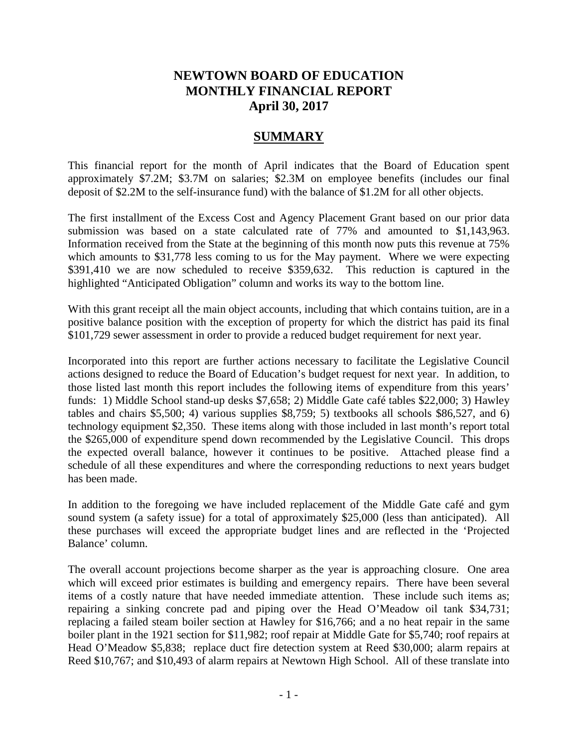# **NEWTOWN BOARD OF EDUCATION MONTHLY FINANCIAL REPORT April 30, 2017**

# **SUMMARY**

This financial report for the month of April indicates that the Board of Education spent approximately \$7.2M; \$3.7M on salaries; \$2.3M on employee benefits (includes our final deposit of \$2.2M to the self-insurance fund) with the balance of \$1.2M for all other objects.

The first installment of the Excess Cost and Agency Placement Grant based on our prior data submission was based on a state calculated rate of 77% and amounted to \$1,143,963. Information received from the State at the beginning of this month now puts this revenue at 75% which amounts to \$31,778 less coming to us for the May payment. Where we were expecting \$391,410 we are now scheduled to receive \$359,632. This reduction is captured in the highlighted "Anticipated Obligation" column and works its way to the bottom line.

With this grant receipt all the main object accounts, including that which contains tuition, are in a positive balance position with the exception of property for which the district has paid its final \$101,729 sewer assessment in order to provide a reduced budget requirement for next year.

Incorporated into this report are further actions necessary to facilitate the Legislative Council actions designed to reduce the Board of Education's budget request for next year. In addition, to those listed last month this report includes the following items of expenditure from this years' funds: 1) Middle School stand-up desks \$7,658; 2) Middle Gate café tables \$22,000; 3) Hawley tables and chairs \$5,500; 4) various supplies \$8,759; 5) textbooks all schools \$86,527, and 6) technology equipment \$2,350. These items along with those included in last month's report total the \$265,000 of expenditure spend down recommended by the Legislative Council. This drops the expected overall balance, however it continues to be positive. Attached please find a schedule of all these expenditures and where the corresponding reductions to next years budget has been made.

In addition to the foregoing we have included replacement of the Middle Gate café and gym sound system (a safety issue) for a total of approximately \$25,000 (less than anticipated). All these purchases will exceed the appropriate budget lines and are reflected in the 'Projected Balance' column.

The overall account projections become sharper as the year is approaching closure. One area which will exceed prior estimates is building and emergency repairs. There have been several items of a costly nature that have needed immediate attention. These include such items as; repairing a sinking concrete pad and piping over the Head O'Meadow oil tank \$34,731; replacing a failed steam boiler section at Hawley for \$16,766; and a no heat repair in the same boiler plant in the 1921 section for \$11,982; roof repair at Middle Gate for \$5,740; roof repairs at Head O'Meadow \$5,838; replace duct fire detection system at Reed \$30,000; alarm repairs at Reed \$10,767; and \$10,493 of alarm repairs at Newtown High School. All of these translate into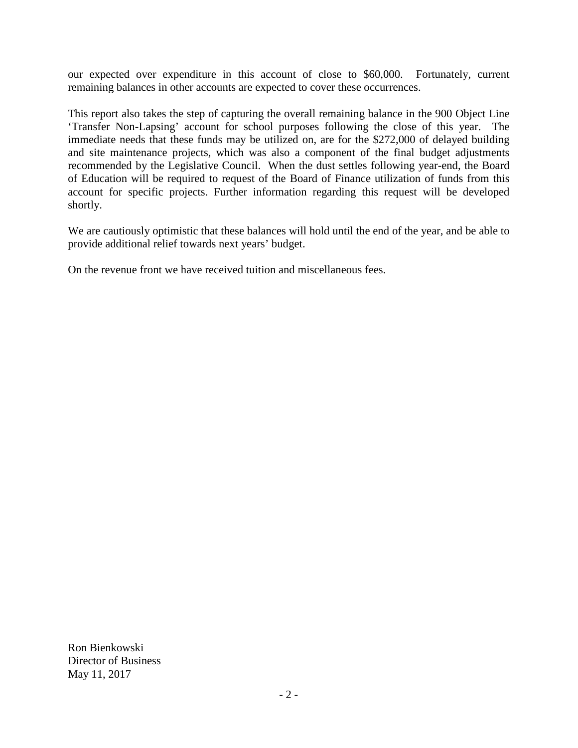our expected over expenditure in this account of close to \$60,000. Fortunately, current remaining balances in other accounts are expected to cover these occurrences.

This report also takes the step of capturing the overall remaining balance in the 900 Object Line 'Transfer Non-Lapsing' account for school purposes following the close of this year. The immediate needs that these funds may be utilized on, are for the \$272,000 of delayed building and site maintenance projects, which was also a component of the final budget adjustments recommended by the Legislative Council. When the dust settles following year-end, the Board of Education will be required to request of the Board of Finance utilization of funds from this account for specific projects. Further information regarding this request will be developed shortly.

We are cautiously optimistic that these balances will hold until the end of the year, and be able to provide additional relief towards next years' budget.

On the revenue front we have received tuition and miscellaneous fees.

Ron Bienkowski Director of Business May 11, 2017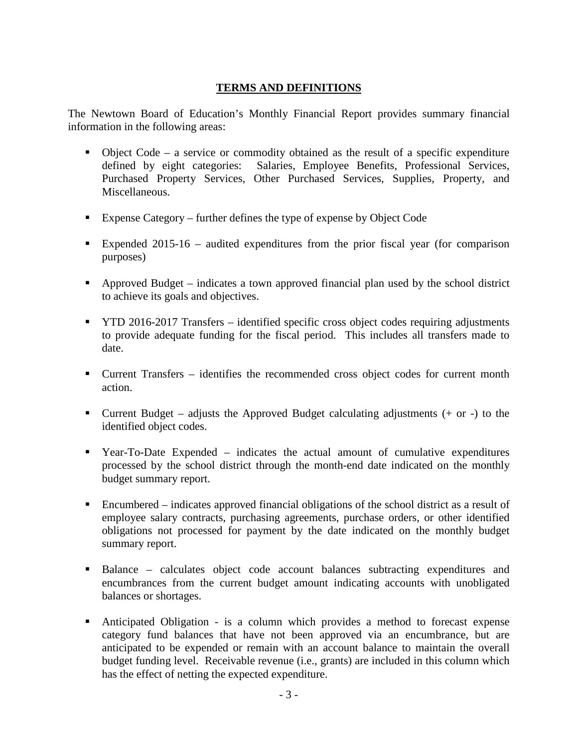# **TERMS AND DEFINITIONS**

The Newtown Board of Education's Monthly Financial Report provides summary financial information in the following areas:

- $\blacksquare$  Object Code a service or commodity obtained as the result of a specific expenditure defined by eight categories: Salaries, Employee Benefits, Professional Services, Purchased Property Services, Other Purchased Services, Supplies, Property, and Miscellaneous.
- Expense Category further defines the type of expense by Object Code
- Expended 2015-16 audited expenditures from the prior fiscal year (for comparison purposes)
- Approved Budget indicates a town approved financial plan used by the school district to achieve its goals and objectives.
- **TYTD 2016-2017 Transfers identified specific cross object codes requiring adjustments** to provide adequate funding for the fiscal period. This includes all transfers made to date.
- Current Transfers identifies the recommended cross object codes for current month action.
- **Current Budget** adjusts the Approved Budget calculating adjustments  $(+)$  or  $-)$  to the identified object codes.
- Year-To-Date Expended indicates the actual amount of cumulative expenditures processed by the school district through the month-end date indicated on the monthly budget summary report.
- Encumbered indicates approved financial obligations of the school district as a result of employee salary contracts, purchasing agreements, purchase orders, or other identified obligations not processed for payment by the date indicated on the monthly budget summary report.
- Balance calculates object code account balances subtracting expenditures and encumbrances from the current budget amount indicating accounts with unobligated balances or shortages.
- Anticipated Obligation is a column which provides a method to forecast expense category fund balances that have not been approved via an encumbrance, but are anticipated to be expended or remain with an account balance to maintain the overall budget funding level. Receivable revenue (i.e., grants) are included in this column which has the effect of netting the expected expenditure.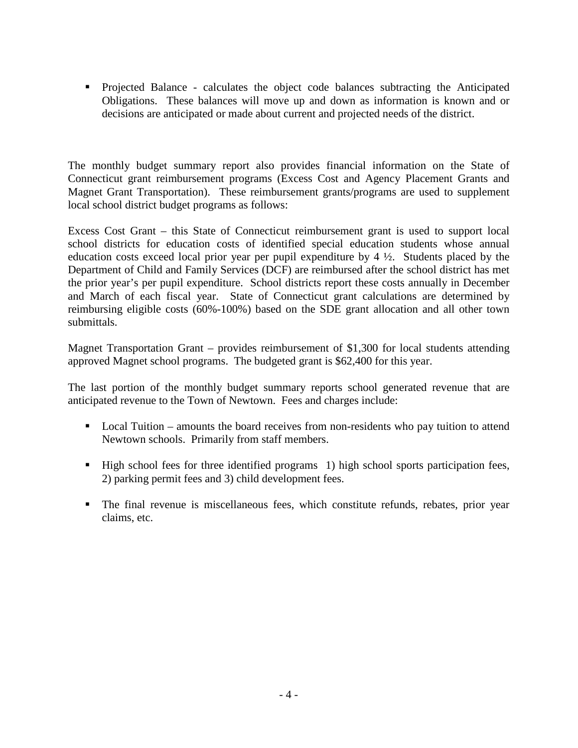Projected Balance - calculates the object code balances subtracting the Anticipated Obligations. These balances will move up and down as information is known and or decisions are anticipated or made about current and projected needs of the district.

The monthly budget summary report also provides financial information on the State of Connecticut grant reimbursement programs (Excess Cost and Agency Placement Grants and Magnet Grant Transportation). These reimbursement grants/programs are used to supplement local school district budget programs as follows:

Excess Cost Grant – this State of Connecticut reimbursement grant is used to support local school districts for education costs of identified special education students whose annual education costs exceed local prior year per pupil expenditure by 4 ½. Students placed by the Department of Child and Family Services (DCF) are reimbursed after the school district has met the prior year's per pupil expenditure. School districts report these costs annually in December and March of each fiscal year. State of Connecticut grant calculations are determined by reimbursing eligible costs (60%-100%) based on the SDE grant allocation and all other town submittals.

Magnet Transportation Grant – provides reimbursement of \$1,300 for local students attending approved Magnet school programs. The budgeted grant is \$62,400 for this year.

The last portion of the monthly budget summary reports school generated revenue that are anticipated revenue to the Town of Newtown. Fees and charges include:

- Local Tuition amounts the board receives from non-residents who pay tuition to attend Newtown schools. Primarily from staff members.
- High school fees for three identified programs 1) high school sports participation fees, 2) parking permit fees and 3) child development fees.
- The final revenue is miscellaneous fees, which constitute refunds, rebates, prior year claims, etc.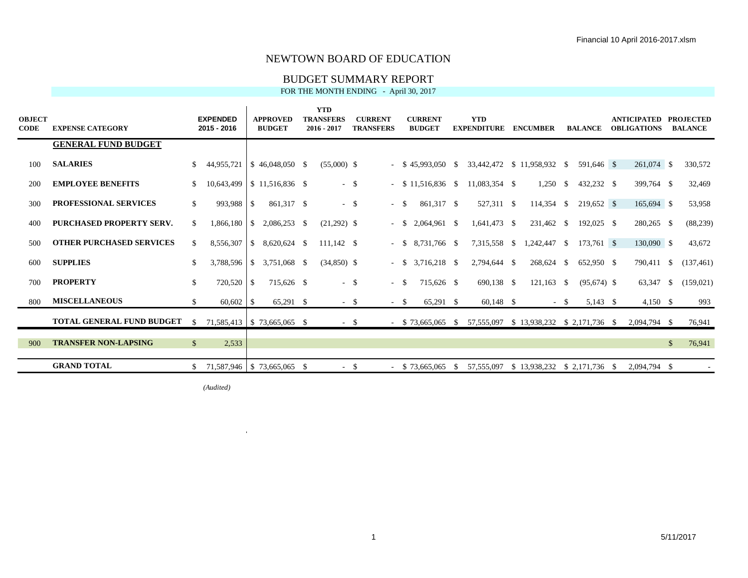#### BUDGET SUMMARY REPORT

FOR THE MONTH ENDING - April 30, 2017

| <b>OBJECT</b><br>CODE | <b>EXPENSE CATEGORY</b>          |               | <b>EXPENDED</b><br>2015 - 2016 |              | <b>APPROVED</b><br><b>BUDGET</b> | <b>YTD</b><br><b>TRANSFERS</b><br>$2016 - 2017$ |        | <b>CURRENT</b><br><b>TRANSFERS</b> |        | <b>CURRENT</b><br><b>BUDGET</b> |              | <b>YTD</b><br><b>EXPENDITURE</b>         | <b>ENCUMBER</b>                        |        | <b>BALANCE</b> | <b>ANTICIPATED</b><br><b>OBLIGATIONS</b> |               | <b>PROJECTED</b><br><b>BALANCE</b> |
|-----------------------|----------------------------------|---------------|--------------------------------|--------------|----------------------------------|-------------------------------------------------|--------|------------------------------------|--------|---------------------------------|--------------|------------------------------------------|----------------------------------------|--------|----------------|------------------------------------------|---------------|------------------------------------|
|                       | <b>GENERAL FUND BUDGET</b>       |               |                                |              |                                  |                                                 |        |                                    |        |                                 |              |                                          |                                        |        |                |                                          |               |                                    |
| 100                   | <b>SALARIES</b>                  | -S            | 44,955,721                     |              | $$46,048,050$ \ \$               | $(55,000)$ \$                                   |        |                                    |        | $-$ \$ 45,993,050 \$            |              | 33,442,472 \$ 11,958,932 \$              |                                        |        | 591,646 \$     | 261,074 \$                               |               | 330,572                            |
| 200                   | <b>EMPLOYEE BENEFITS</b>         | <sup>S</sup>  | 10,643,499                     |              | $$11,516,836$ \\$                | $-$ \$                                          |        |                                    |        | $-$ \$ 11,516,836 \$            |              | 11,083,354 \$                            | $1,250$ \$                             |        | 432,232 \$     | 399,764 \$                               |               | 32,469                             |
| 300                   | <b>PROFESSIONAL SERVICES</b>     | S.            | 993.988                        | <sup>S</sup> | 861,317 \$                       | $-$ \$                                          |        |                                    | $-$ \$ | 861,317 \$                      |              | 527,311 \$                               | $114,354$ \$                           |        | 219,652 \$     | 165,694 \$                               |               | 53,958                             |
| 400                   | <b>PURCHASED PROPERTY SERV.</b>  | <sup>\$</sup> |                                |              | $2,086,253$ \$                   | $(21,292)$ \$                                   |        |                                    | $-$ \$ | 2,064,961 \$                    |              | $1,641,473$ \$                           | 231,462 \$                             |        | 192,025 \$     | 280,265 \$                               |               | (88, 239)                          |
| 500                   | <b>OTHER PURCHASED SERVICES</b>  | <sup>\$</sup> | 8,556,307                      |              | $$8,620,624$ \ \$                | $111.142$ \$                                    |        |                                    |        | 8,731,766 \$<br>$-$ \$          |              | 7,315,558 \$                             | 1,242,447 \$                           |        | $173,761$ \$   | 130,090 \$                               |               | 43,672                             |
| 600                   | <b>SUPPLIES</b>                  | <sup>S</sup>  |                                |              | 3,788,596 \$ 3,751,068 \$        | $(34,850)$ \$                                   |        |                                    |        | 3,716,218 \$<br>$-$ S           |              | 2,794,644 \$                             | 268,624 \$                             |        | 652,950 \$     | 790.411 \$                               |               | (137, 461)                         |
| 700                   | <b>PROPERTY</b>                  | <sup>\$</sup> | 720,520                        | -S           | 715,626 \$                       | $-$ \$                                          |        |                                    | $-$ \$ | 715,626 \$                      |              | 690,138 \$                               | $121,163$ \$                           |        | $(95,674)$ \$  | 63,347                                   | - \$          | (159, 021)                         |
| 800                   | <b>MISCELLANEOUS</b>             | <sup>\$</sup> |                                |              | 65,291 \$                        |                                                 | $-$ \$ |                                    | $- S$  | 65,291 \$                       |              | 60,148 \$                                |                                        | $-$ \$ | $5,143$ \$     | $4,150$ \$                               |               | 993                                |
|                       | <b>TOTAL GENERAL FUND BUDGET</b> | -S            | 71,585,413   \$73,665,065 \$   |              |                                  | $-$ \$                                          |        |                                    |        | $-$ \$ 73,665,065               | $\mathbf{s}$ | 57,555,097 \$ 13,938,232 \$ 2,171,736 \$ |                                        |        |                | 2,094,794 \$                             |               | 76,941                             |
| 900                   | <b>TRANSFER NON-LAPSING</b>      | $\mathbb{S}$  | 2,533                          |              |                                  |                                                 |        |                                    |        |                                 |              |                                          |                                        |        |                |                                          | $\mathcal{S}$ | 76,941                             |
|                       | <b>GRAND TOTAL</b>               | $\mathbb{S}$  | 71,587,946 \$73,665,065 \$     |              |                                  | $-$ \$                                          |        |                                    |        | $-$ \$ 73,665,065               | -S           | 57,555,097                               | $$13,938,232 \quad $2,171,736 \quad $$ |        |                | 2,094,794 \$                             |               |                                    |

*(Audited)* \$ (7,238,441)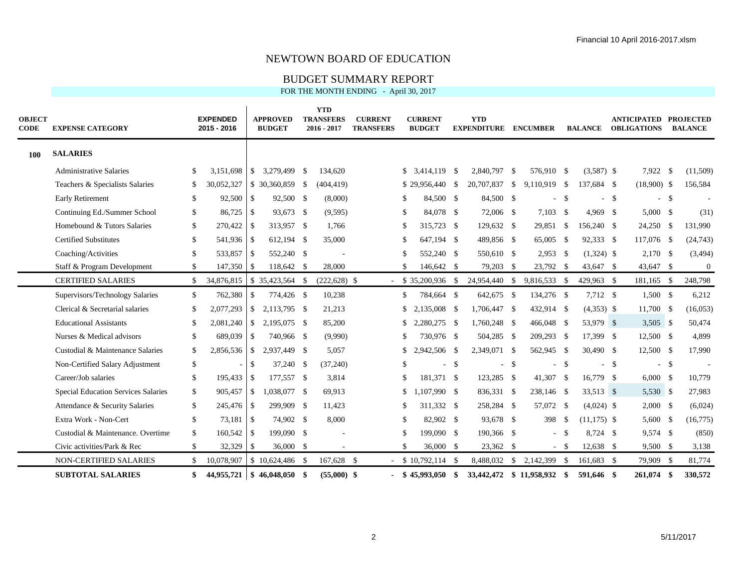#### BUDGET SUMMARY REPORT

| <b>OBJECT</b><br><b>CODE</b> | <b>EXPENSE CATEGORY</b>                    |               | <b>EXPENDED</b><br>2015 - 2016 |                | <b>APPROVED</b><br><b>BUDGET</b> | <b>YTD</b><br><b>TRANSFERS</b><br>2016 - 2017 | <b>CURRENT</b><br><b>TRANSFERS</b> |               | <b>CURRENT</b><br><b>BUDGET</b> |    | <b>YTD</b><br><b>EXPENDITURE</b> |      | <b>ENCUMBER</b> |        | <b>BALANCE</b> |        | <b>ANTICIPATED</b><br><b>OBLIGATIONS</b> | <b>PROJECTED</b><br><b>BALANCE</b> |
|------------------------------|--------------------------------------------|---------------|--------------------------------|----------------|----------------------------------|-----------------------------------------------|------------------------------------|---------------|---------------------------------|----|----------------------------------|------|-----------------|--------|----------------|--------|------------------------------------------|------------------------------------|
| 100                          | <b>SALARIES</b>                            |               |                                |                |                                  |                                               |                                    |               |                                 |    |                                  |      |                 |        |                |        |                                          |                                    |
|                              | <b>Administrative Salaries</b>             | \$            | 3,151,698                      | $\sqrt{S}$     | 3,279,499 \$                     | 134,620                                       |                                    |               | $$3,414,119$ \ \$               |    | 2,840,797 \$                     |      | 576,910 \$      |        | $(3,587)$ \$   |        | 7,922 \$                                 | (11,509)                           |
|                              | Teachers & Specialists Salaries            | S.            | 30,052,327                     |                | $$30,360,859$ \$                 | (404, 419)                                    |                                    |               | $$29,956,440$ \ \$              |    | 20,707,837 \$                    |      | 9,110,919 \$    |        | 137,684 \$     |        | $(18,900)$ \$                            | 156,584                            |
|                              | <b>Early Retirement</b>                    | \$            | $92,500$ \$                    |                | 92,500 \$                        | (8,000)                                       |                                    | -S            | 84,500 \$                       |    | 84,500 \$                        |      |                 | $-5$   |                | -\$    | $-5$                                     |                                    |
|                              | Continuing Ed./Summer School               | S.            | 86,725                         | $\overline{1}$ | 93,673 \$                        | (9,595)                                       |                                    | -S            | 84,078 \$                       |    | 72,006 \$                        |      | $7,103$ \$      |        | $4,969$ \$     |        | 5,000 S                                  | (31)                               |
|                              | Homebound & Tutors Salaries                | \$            |                                |                | 313,957 \$                       | 1,766                                         |                                    | <sup>\$</sup> | 315,723 \$                      |    | 129,632 \$                       |      | 29,851 \$       |        | 156,240 \$     |        | $24,250$ \$                              | 131,990                            |
|                              | <b>Certified Substitutes</b>               | $\mathcal{S}$ | 541,936 \$                     |                | 612,194 \$                       | 35,000                                        |                                    | <sup>\$</sup> | 647.194 \$                      |    | 489,856 \$                       |      | 65,005 \$       |        | 92,333 \$      |        | 117,076 \$                               | (24, 743)                          |
|                              | Coaching/Activities                        | \$            | 533,857                        | l \$           | 552,240 \$                       |                                               |                                    |               | 552,240 \$                      |    | 550,610 \$                       |      | $2,953$ \$      |        | $(1,324)$ \$   |        | $2,170$ \$                               | (3, 494)                           |
|                              | Staff & Program Development                | \$            | 147,350 \$                     |                | 118,642 \$                       | 28,000                                        |                                    |               | 146,642 \$                      |    | 79,203 \$                        |      | 23,792 \$       |        | 43,647 \$      |        | 43,647 \$                                | $\mathbf{0}$                       |
|                              | <b>CERTIFIED SALARIES</b>                  | \$            | 34,876,815                     |                | $$35,423,564$ \\$                | $(222, 628)$ \$                               |                                    |               | $$35,200,936$ \\$               |    | 24,954,440 \$                    |      | 9,816,533 \$    |        | 429,963 \$     |        | 181,165 \$                               | 248,798                            |
|                              | Supervisors/Technology Salaries            | \$            | 762,380                        | S              | 774,426 \$                       | 10,238                                        |                                    | \$            | 784,664 \$                      |    | 642,675 \$                       |      | 134,276 \$      |        | 7,712 \$       |        | $1,500$ \$                               | 6,212                              |
|                              | Clerical & Secretarial salaries            | \$            | 2,077,293                      | l \$           | 2.113.795 \$                     | 21,213                                        |                                    | \$            | 2,135,008 \$                    |    | 1,706,447 \$                     |      | 432,914 \$      |        | $(4,353)$ \$   |        | 11,700 \$                                | (16, 053)                          |
|                              | <b>Educational Assistants</b>              | \$.           | 2,081,240                      | $\overline{1}$ | 2,195,075 \$                     | 85,200                                        |                                    |               | 2,280,275 \$                    |    | 1,760,248 \$                     |      | 466,048 \$      |        | 53,979 \$      |        | $3,505$ \$                               | 50,474                             |
|                              | Nurses & Medical advisors                  | \$            | 689,039                        | <b>S</b>       | 740,966 \$                       | (9,990)                                       |                                    | -S            | 730,976 \$                      |    | 504,285 \$                       |      | 209,293 \$      |        | 17,399 \$      |        | 12,500 \$                                | 4,899                              |
|                              | Custodial & Maintenance Salaries           | \$            |                                |                | 2,937,449 \$                     | 5,057                                         |                                    |               | 2,942,506 \$                    |    | 2,349,071 \$                     |      | 562,945 \$      |        | 30,490 \$      |        | 12,500 \$                                | 17,990                             |
|                              | Non-Certified Salary Adjustment            | \$            |                                | $\mathbb{S}$   | 37,240 \$                        | (37,240)                                      |                                    | £.            | $\sim$                          | \$ | $\sim$                           | \$   |                 | $-5$   |                | $-$ \$ | $-$ \$                                   |                                    |
|                              | Career/Job salaries                        | \$            | 195,433 \$                     |                | 177,557 \$                       | 3,814                                         |                                    | £.            | 181,371 \$                      |    | 123,285 \$                       |      | 41,307 \$       |        | 16,779 \$      |        | $6,000$ \$                               | 10,779                             |
|                              | <b>Special Education Services Salaries</b> | \$            | 905.457                        | $\overline{1}$ | 1,038,077 \$                     | 69,913                                        |                                    | <sup>\$</sup> | 1,107,990 \$                    |    | 836,331 \$                       |      | 238,146 \$      |        | 33,513 \$      |        | 5,530 \$                                 | 27,983                             |
|                              | Attendance & Security Salaries             | \$            | 245,476                        | $\overline{1}$ | 299,909 \$                       | 11,423                                        |                                    | <sup>\$</sup> | 311,332 \$                      |    | 258,284 \$                       |      | 57,072 \$       |        | $(4,024)$ \$   |        | $2,000$ \$                               | (6,024)                            |
|                              | Extra Work - Non-Cert                      | \$            | 73.181                         | l \$           | 74,902 \$                        | 8,000                                         |                                    | <sup>\$</sup> | 82.902 \$                       |    | 93,678 \$                        |      | 398 \$          |        | $(11,175)$ \$  |        | 5,600 \$                                 | (16, 775)                          |
|                              | Custodial & Maintenance. Overtime          | \$            | 160,542 \$                     |                | 199,090 \$                       |                                               |                                    | -8            | 199,090 \$                      |    | 190,366 \$                       |      |                 | $-$ \$ | 8,724 \$       |        | 9,574 \$                                 | (850)                              |
|                              | Civic activities/Park & Rec                | \$            | 32,329                         | S              | $36,000$ \$                      |                                               |                                    |               | $36,000$ \$                     |    | 23,362 \$                        |      |                 | $-$ \$ | 12,638 \$      |        | $9,500$ \$                               | 3,138                              |
|                              | <b>NON-CERTIFIED SALARIES</b>              | \$            | 10,078,907                     |                | $$10,624,486$ \;                 | 167,628 \$                                    |                                    |               | \$10,792,114                    | -S | 8,488,032                        | - \$ | 2,142,399 \$    |        | 161,683 \$     |        | 79,909 \$                                | 81,774                             |
|                              | <b>SUBTOTAL SALARIES</b>                   | \$            | 44,955,721                     |                | $$46,048,050$ \$                 | $(55,000)$ \$                                 |                                    |               | $$45,993,050$ \$                |    | 33,442,472 \$ 11,958,932 \$      |      |                 |        | 591,646 \$     |        | 261,074 \$                               | 330,572                            |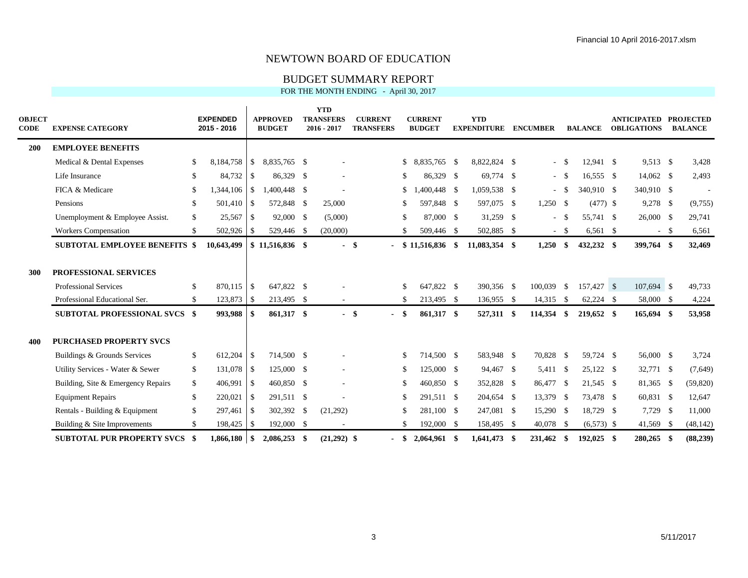#### BUDGET SUMMARY REPORT

| <b>OBJECT</b><br><b>CODE</b> | <b>EXPENSE CATEGORY</b>              |               | <b>EXPENDED</b><br>2015 - 2016 |               | <b>APPROVED</b><br><b>BUDGET</b> | <b>YTD</b><br><b>TRANSFERS</b><br>2016 - 2017 |        | <b>CURRENT</b><br><b>TRANSFERS</b> |               | <b>CURRENT</b><br><b>BUDGET</b> | <b>YTD</b><br><b>EXPENDITURE</b> | <b>ENCUMBER</b> |        | <b>BALANCE</b> | <b>ANTICIPATED</b><br><b>OBLIGATIONS</b> |      | <b>PROJECTED</b><br><b>BALANCE</b> |
|------------------------------|--------------------------------------|---------------|--------------------------------|---------------|----------------------------------|-----------------------------------------------|--------|------------------------------------|---------------|---------------------------------|----------------------------------|-----------------|--------|----------------|------------------------------------------|------|------------------------------------|
| <b>200</b>                   | <b>EMPLOYEE BENEFITS</b>             |               |                                |               |                                  |                                               |        |                                    |               |                                 |                                  |                 |        |                |                                          |      |                                    |
|                              | Medical & Dental Expenses            | -S            | 8,184,758                      | $\mathbb{S}$  | 8,835,765 \$                     |                                               |        |                                    | \$            | 8,835,765 \$                    | 8,822,824 \$                     |                 | $-$ \$ | $12,941$ \$    | 9,513 \$                                 |      | 3,428                              |
|                              | Life Insurance                       | -S            | 84,732                         | $\mathbb{S}$  | 86,329 \$                        |                                               |        |                                    | \$.           | 86,329 \$                       | 69,774 \$                        |                 | $-$ \$ | $16,555$ \$    | 14,062 \$                                |      | 2,493                              |
|                              | FICA & Medicare                      | <sup>\$</sup> | 1,344,106                      | <sup>\$</sup> | 1,400,448 \$                     |                                               |        |                                    | \$            | ,400,448 \$                     | 1,059,538 \$                     |                 | $-$ \$ | 340.910 \$     | 340,910 \$                               |      |                                    |
|                              | Pensions                             | \$            | 501,410                        | \$            | 572,848 \$                       | 25,000                                        |        |                                    | \$.           | 597,848 \$                      | 597,075 \$                       | $1,250$ \$      |        | $(477)$ \$     | 9,278 \$                                 |      | (9,755)                            |
|                              | Unemployment & Employee Assist.      | \$            | 25,567                         | -S            | 92,000 \$                        | (5,000)                                       |        |                                    | $\mathcal{S}$ | 87,000 \$                       | $31,259$ \$                      |                 | $-$ \$ | 55,741 \$      | 26,000 \$                                |      | 29,741                             |
|                              | <b>Workers Compensation</b>          | \$            | 502,926                        | <sup>\$</sup> | 529,446 \$                       | (20,000)                                      |        |                                    | £.            | 509,446 \$                      | 502,885 \$                       |                 | $-$ \$ | $6,561$ \$     | $-$ \$                                   |      | 6,561                              |
|                              | <b>SUBTOTAL EMPLOYEE BENEFITS \$</b> |               | 10,643,499                     |               | $$11,516,836$ \$                 |                                               | $-$ \$ |                                    |               | $-$ \$ 11,516,836 \$            | 11,083,354 \$                    | 1,250           | \$     | 432,232 \$     | 399,764 \$                               |      | 32,469                             |
| 300                          | <b>PROFESSIONAL SERVICES</b>         |               |                                |               |                                  |                                               |        |                                    |               |                                 |                                  |                 |        |                |                                          |      |                                    |
|                              | <b>Professional Services</b>         | <sup>\$</sup> | 870.115                        | <sup>\$</sup> | 647,822 \$                       |                                               |        |                                    | <sup>\$</sup> | 647,822 \$                      | 390,356 \$                       | 100,039 \$      |        | 157,427 \$     | 107,694 \$                               |      | 49,733                             |
|                              | Professional Educational Ser.        | \$            | 123,873                        | -S            | 213,495 \$                       |                                               |        |                                    | \$            | 213,495 \$                      | 136,955 \$                       | $14,315$ \$     |        | 62,224 \$      | 58,000 \$                                |      | 4,224                              |
|                              | <b>SUBTOTAL PROFESSIONAL SVCS \$</b> |               | 993,988                        | -SS           | 861,317 \$                       |                                               | - \$   | $\sim$                             | -S            | 861,317 \$                      | 527,311 \$                       | 114,354         | - \$   | 219,652 \$     | 165,694 \$                               |      | 53,958                             |
| 400                          | <b>PURCHASED PROPERTY SVCS</b>       |               |                                |               |                                  |                                               |        |                                    |               |                                 |                                  |                 |        |                |                                          |      |                                    |
|                              | Buildings & Grounds Services         | <sup>\$</sup> | 612,204                        | <sup>\$</sup> | 714,500 \$                       |                                               |        |                                    | <sup>\$</sup> | 714,500 \$                      | 583,948 \$                       | 70,828 \$       |        | 59,724 \$      | 56,000 \$                                |      | 3,724                              |
|                              | Utility Services - Water & Sewer     | \$            | 131,078                        | <sup>S</sup>  | 125,000 \$                       |                                               |        |                                    | <sup>\$</sup> | $125,000$ \$                    | 94,467 \$                        | 5,411 \$        |        | $25,122$ \$    | 32,771 \$                                |      | (7,649)                            |
|                              | Building, Site & Emergency Repairs   | \$            | 406,991                        | \$            | 460,850 \$                       |                                               |        |                                    | \$.           | 460,850 \$                      | 352,828 \$                       | 86,477 \$       |        | 21,545 \$      | 81,365 \$                                |      | (59, 820)                          |
|                              | <b>Equipment Repairs</b>             | \$            | 220,021                        | <sup>S</sup>  | 291,511 \$                       |                                               |        |                                    | <sup>\$</sup> | 291,511 \$                      | 204,654 \$                       | 13,379 \$       |        | 73,478 \$      | 60,831 \$                                |      | 12,647                             |
|                              | Rentals - Building & Equipment       | \$            | 297,461                        | \$            | 302,392 \$                       | (21,292)                                      |        |                                    | \$.           | 281,100 \$                      | 247,081 \$                       | 15,290 \$       |        | 18,729 \$      | 7,729 \$                                 |      | 11,000                             |
|                              | Building & Site Improvements         | \$            | 198,425                        | - \$          | 192,000 \$                       |                                               |        |                                    | \$.           | 192,000 \$                      | 158,495 \$                       | 40,078 \$       |        | $(6,573)$ \$   | 41,569 \$                                |      | (48, 142)                          |
|                              | <b>SUBTOTAL PUR PROPERTY SVCS</b>    | - \$          |                                |               | $2,086,253$ \$                   | $(21,292)$ \$                                 |        |                                    | -SS           | $2,064,961$ \$                  | 1,641,473 \$                     | 231,462         | - \$   | $192.025$ \$   | 280,265                                  | - \$ | (88, 239)                          |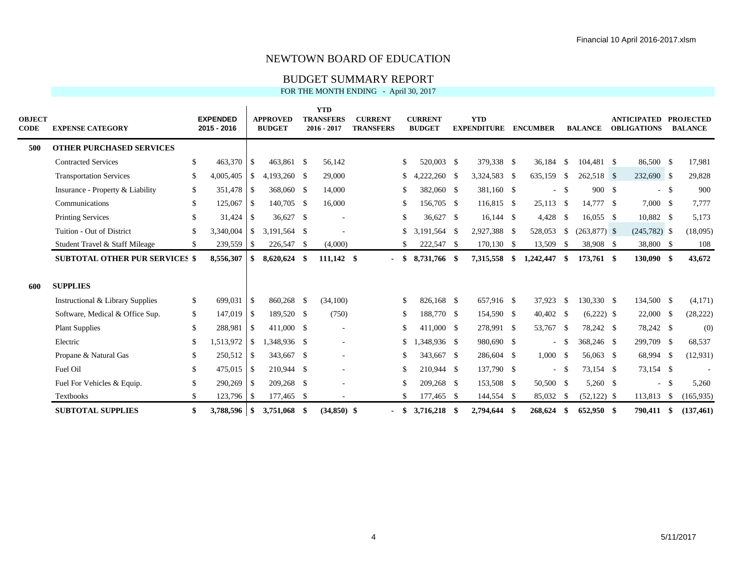#### BUDGET SUMMARY REPORT

| <b>OBJECT</b><br><b>CODE</b> | <b>EXPENSE CATEGORY</b>               |     | <b>EXPENDED</b><br>2015 - 2016 |                | <b>APPROVED</b><br><b>BUDGET</b> |    | <b>YTD</b><br><b>TRANSFERS</b><br>$2016 - 2017$ | <b>CURRENT</b><br><b>TRANSFERS</b> |               | <b>CURRENT</b><br><b>BUDGET</b> |     | <b>YTD</b><br><b>EXPENDITURE</b> | <b>ENCUMBER</b> |               | <b>BALANCE</b> | <b>ANTICIPATED</b><br><b>OBLIGATIONS</b> |        | <b>PROJECTED</b><br><b>BALANCE</b> |
|------------------------------|---------------------------------------|-----|--------------------------------|----------------|----------------------------------|----|-------------------------------------------------|------------------------------------|---------------|---------------------------------|-----|----------------------------------|-----------------|---------------|----------------|------------------------------------------|--------|------------------------------------|
| 500                          | <b>OTHER PURCHASED SERVICES</b>       |     |                                |                |                                  |    |                                                 |                                    |               |                                 |     |                                  |                 |               |                |                                          |        |                                    |
|                              | <b>Contracted Services</b>            | \$  |                                |                | 463,861 \$                       |    | 56,142                                          |                                    | <sup>\$</sup> | 520,003 \$                      |     | 379,338 \$                       | 36,184 \$       |               | 104,481 \$     | 86,500 \$                                |        | 17,981                             |
|                              | <b>Transportation Services</b>        | \$. | 4,005,405                      | l \$           | 4,193,260 \$                     |    | 29,000                                          |                                    | \$            | 4,222,260                       | -S  | 3,324,583 \$                     | 635,159 \$      |               | 262,518 \$     | 232,690 \$                               |        | 29,828                             |
|                              | Insurance - Property & Liability      | S.  | 351,478 \$                     |                | 368,060 \$                       |    | 14,000                                          |                                    | -S            | 382,060 \$                      |     | 381,160 \$                       |                 | $-$ \$        | 900 \$         |                                          | $-$ \$ | 900                                |
|                              | Communications                        | \$  | 125,067                        | $\overline{1}$ | 140,705 \$                       |    | 16,000                                          |                                    | -S            | 156,705 \$                      |     | 116,815 \$                       | $25,113$ \$     |               | 14,777 \$      | 7,000 \$                                 |        | 7,777                              |
|                              | <b>Printing Services</b>              | \$. | 31,424                         | $\overline{1}$ | 36,627 \$                        |    |                                                 |                                    | <sup>\$</sup> | $36.627$ \$                     |     | $16,144$ \$                      | 4,428 \$        |               | $16,055$ \$    | 10,882 \$                                |        | 5,173                              |
|                              | Tuition - Out of District             | \$. | 3,340,004                      | $\overline{1}$ | 3.191.564 \$                     |    |                                                 |                                    | <sup>\$</sup> | 3.191.564 \$                    |     | 2,927,388 \$                     | 528,053         | <sup>\$</sup> | $(263,877)$ \$ | $(245,782)$ \$                           |        | (18,095)                           |
|                              | Student Travel & Staff Mileage        | \$  |                                |                | 226,547 \$                       |    | (4,000)                                         |                                    |               | 222,547 \$                      |     | $170,130$ \$                     | 13,509          | - \$          | 38,908 \$      | 38,800 \$                                |        | 108                                |
|                              | <b>SUBTOTAL OTHER PUR SERVICES \$</b> |     | 8,556,307                      | -S             | 8,620,624                        | -S | 111,142 \$                                      | $\sim$                             | SS.           | 8,731,766 \$                    |     | 7,315,558                        | \$<br>1,242,447 | \$            | 173,761 \$     | 130,090 \$                               |        | 43,672                             |
| 600                          | <b>SUPPLIES</b>                       |     |                                |                |                                  |    |                                                 |                                    |               |                                 |     |                                  |                 |               |                |                                          |        |                                    |
|                              | Instructional & Library Supplies      | \$  | 699,031                        | l \$           | 860,268 \$                       |    | (34,100)                                        |                                    | <sup>\$</sup> | 826,168 \$                      |     | 657,916 \$                       | 37,923 \$       |               | 130,330 \$     | 134,500 \$                               |        | (4,171)                            |
|                              | Software, Medical & Office Sup.       | \$  | 147,019 \$                     |                | 189,520 \$                       |    | (750)                                           |                                    | -S            | 188,770 \$                      |     | 154,590 \$                       | 40,402 \$       |               | $(6,222)$ \$   | $22,000$ \$                              |        | (28, 222)                          |
|                              | <b>Plant Supplies</b>                 | \$  | 288,981                        | $\overline{1}$ | 411,000 \$                       |    |                                                 |                                    | <sup>\$</sup> | 411,000 \$                      |     | 278,991 \$                       | 53,767 \$       |               | 78,242 \$      | 78,242 \$                                |        | (0)                                |
|                              | Electric                              | \$. | 1,513,972                      | l \$           | 1,348,936 \$                     |    |                                                 |                                    | <sup>\$</sup> | 1,348,936 \$                    |     | 980,690 \$                       |                 | $-$ \$        | 368,246 \$     | 299,709 \$                               |        | 68,537                             |
|                              | Propane & Natural Gas                 | S.  | $250,512$ \$                   |                | 343,667 \$                       |    |                                                 |                                    | <sup>\$</sup> | 343,667 \$                      |     | 286,604 \$                       | 1,000S          |               | 56,063 \$      | 68,994 \$                                |        | (12, 931)                          |
|                              | Fuel Oil                              | \$  | 475,015 \$                     |                | 210,944 \$                       |    |                                                 |                                    | -S            | 210,944 \$                      |     | 137,790 \$                       |                 | $-$ \$        | 73,154 \$      | 73,154 \$                                |        |                                    |
|                              | Fuel For Vehicles & Equip.            | \$  | 290,269                        | l \$           | 209,268 \$                       |    |                                                 |                                    | <sup>\$</sup> | 209,268 \$                      |     | 153,508 \$                       | 50,500 \$       |               | 5,260 \$       |                                          | $-$ \$ | 5,260                              |
|                              | <b>Textbooks</b>                      | \$  | 123,796 \$                     |                | 177,465 \$                       |    |                                                 |                                    |               | 177,465 \$                      |     | 144,554 \$                       | 85,032          | - \$          | $(52,122)$ \$  | 113,813                                  | - \$   | (165, 935)                         |
|                              | <b>SUBTOTAL SUPPLIES</b>              |     | 3,788,596 \$                   |                | 3,751,068 \$                     |    | $(34,850)$ \$                                   |                                    | - \$          | 3,716,218                       | -SS | 2,794,644                        | 268,624         | -\$           | 652,950 \$     | 790.411                                  | -8     | (137, 461)                         |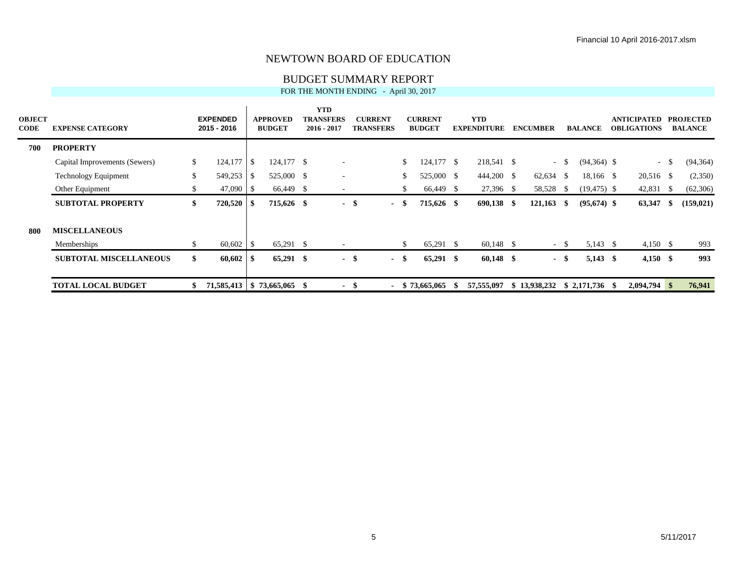#### BUDGET SUMMARY REPORT

| <b>OBJECT</b><br><b>CODE</b> | <b>EXPENSE CATEGORY</b>       |     | <b>EXPENDED</b><br>2015 - 2016 |      | <b>APPROVED</b><br><b>BUDGET</b> | <b>YTD</b><br><b>TRANSFERS</b><br>2016 - 2017 |      | <b>CURRENT</b><br><b>TRANSFERS</b> |      | <b>CURRENT</b><br><b>BUDGET</b> | <b>YTD</b><br><b>EXPENDITURE</b> |     | <b>ENCUMBER</b> |        | <b>BALANCE</b> | ANTICIPATED<br><b>OBLIGATIONS</b> |      | <b>PROJECTED</b><br><b>BALANCE</b> |
|------------------------------|-------------------------------|-----|--------------------------------|------|----------------------------------|-----------------------------------------------|------|------------------------------------|------|---------------------------------|----------------------------------|-----|-----------------|--------|----------------|-----------------------------------|------|------------------------------------|
| 700                          | <b>PROPERTY</b>               |     |                                |      |                                  |                                               |      |                                    |      |                                 |                                  |     |                 |        |                |                                   |      |                                    |
|                              | Capital Improvements (Sewers) | \$  | 124,177                        | -\$  | 124,177 \$                       |                                               |      |                                    | \$   | $124,177$ \$                    | 218,541 \$                       |     |                 | $-$ \$ | $(94,364)$ \$  | $-$ \$                            |      | (94, 364)                          |
|                              | <b>Technology Equipment</b>   | \$. | 549,253                        | - \$ | 525,000 \$                       |                                               |      |                                    | \$   | 525,000 \$                      | 444,200 \$                       |     | $62,634$ \$     |        | 18,166 \$      | 20,516 \$                         |      | (2,350)                            |
|                              | Other Equipment               | \$. | $47,090$ \$                    |      | 66,449 \$                        |                                               |      |                                    | \$   | 66,449 \$                       | 27,396 \$                        |     | 58,528          | - \$   | $(19, 475)$ \$ | 42,831 \$                         |      | (62, 306)                          |
|                              | <b>SUBTOTAL PROPERTY</b>      | \$  | 720,520                        | - \$ | 715,626 \$                       | $\sim$                                        | - \$ | $\sim$                             | - \$ | 715,626 \$                      | 690,138                          | -SS | $121,163$ \$    |        | $(95,674)$ \$  | 63,347                            | - 86 | (159, 021)                         |
| -800                         | <b>MISCELLANEOUS</b>          |     |                                |      |                                  |                                               |      |                                    |      |                                 |                                  |     |                 |        |                |                                   |      |                                    |
|                              | Memberships                   | S.  | $60,602$ \$                    |      | 65,291 \$                        |                                               |      |                                    | \$   | 65,291 \$                       | $60,148$ \$                      |     |                 | $-$ \$ | $5,143$ \$     | $4,150$ \$                        |      | 993                                |
|                              | <b>SUBTOTAL MISCELLANEOUS</b> | \$  |                                |      | 65,291 \$                        | $\sim$                                        | - \$ | $\blacksquare$                     | -\$  | $65,291$ \$                     | $60,148$ \$                      |     |                 | - \$   | $5,143$ \$     | $4,150$ \$                        |      | 993                                |
|                              | <b>TOTAL LOCAL BUDGET</b>     |     | 71,585,413   \$73,665,065 \$   |      |                                  | $\overline{\phantom{a}}$                      | - \$ |                                    |      | \$73,665,065                    | 57,555,097                       |     | \$13,938,232    |        |                | $2,094,794$ \$                    |      | 76,941                             |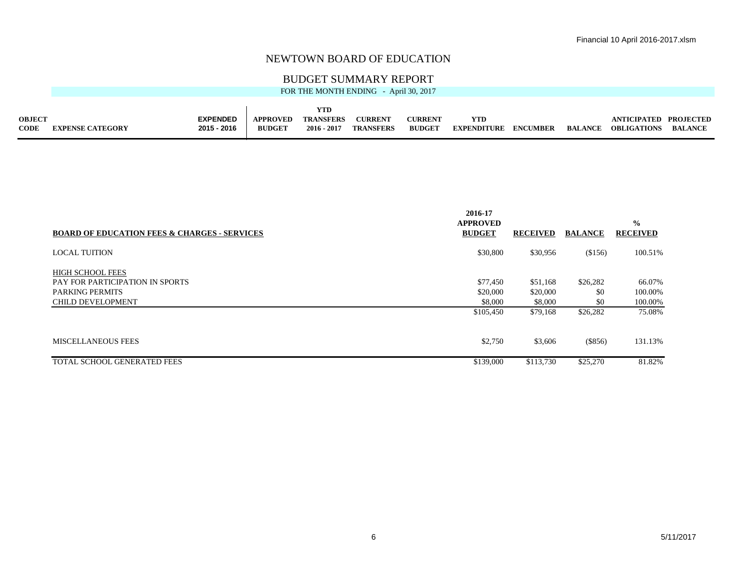#### BUDGET SUMMARY REPORT

|                              |                         |                                |                                  |                                        | FOR THE MONTH ENDING - April 30, 2017 |                                 |                                  |                 |                |                                             |                |
|------------------------------|-------------------------|--------------------------------|----------------------------------|----------------------------------------|---------------------------------------|---------------------------------|----------------------------------|-----------------|----------------|---------------------------------------------|----------------|
| <b>OBJECT</b><br><b>CODE</b> | <b>EXPENSE CATEGORY</b> | <b>EXPENDED</b><br>2015 - 2016 | <b>APPROVED</b><br><b>BUDGET</b> | YTD<br><b>TRANSFERS</b><br>2016 - 2017 | <b>CURRENT</b><br><b>TRANSFERS</b>    | <b>CURRENT</b><br><b>BUDGET</b> | <b>YTD</b><br><b>EXPENDITURE</b> | <b>ENCUMBER</b> | <b>BALANCE</b> | ANTICIPATED PROJECTED<br><b>OBLIGATIONS</b> | <b>BALANCE</b> |

|                                                         | 2016-17<br><b>APPROVED</b> |                 |                | $\frac{0}{0}$   |
|---------------------------------------------------------|----------------------------|-----------------|----------------|-----------------|
| <b>BOARD OF EDUCATION FEES &amp; CHARGES - SERVICES</b> | <b>BUDGET</b>              | <b>RECEIVED</b> | <b>BALANCE</b> | <b>RECEIVED</b> |
| <b>LOCAL TUITION</b>                                    | \$30,800                   | \$30,956        | (\$156)        | 100.51%         |
| <b>HIGH SCHOOL FEES</b>                                 |                            |                 |                |                 |
| PAY FOR PARTICIPATION IN SPORTS                         | \$77,450                   | \$51,168        | \$26,282       | 66.07%          |
| <b>PARKING PERMITS</b>                                  | \$20,000                   | \$20,000        | \$0            | 100.00%         |
| CHILD DEVELOPMENT                                       | \$8,000                    | \$8,000         | \$0            | 100.00%         |
|                                                         | \$105,450                  | \$79,168        | \$26,282       | 75.08%          |
| <b>MISCELLANEOUS FEES</b>                               | \$2,750                    | \$3,606         | (\$856)        | 131.13%         |
| TOTAL SCHOOL GENERATED FEES                             | \$139,000                  | \$113,730       | \$25,270       | 81.82%          |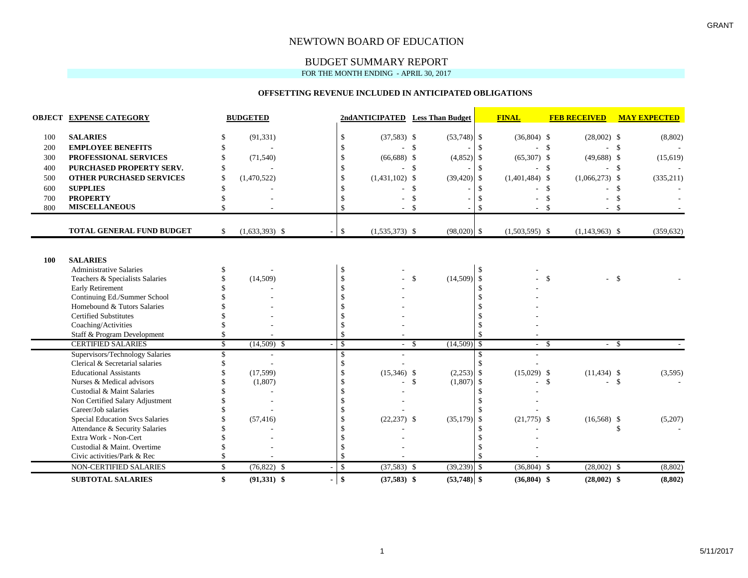#### BUDGET SUMMARY REPORT

FOR THE MONTH ENDING - APRIL 30, 2017

#### **OFFSETTING REVENUE INCLUDED IN ANTICIPATED OBLIGATIONS**

|     | <b>OBJECT EXPENSE CATEGORY</b>         |               | <b>BUDGETED</b>  |               |                  | 2ndANTICIPATED Less Than Budget |               | <b>FINAL</b>     | <b>FEB RECEIVED</b>     | <b>MAY EXPECTED</b> |
|-----|----------------------------------------|---------------|------------------|---------------|------------------|---------------------------------|---------------|------------------|-------------------------|---------------------|
| 100 | <b>SALARIES</b>                        | -S            | (91, 331)        | \$            | $(37,583)$ \$    | $(53,748)$ \$                   |               | $(36,804)$ \$    | $(28,002)$ \$           | (8,802)             |
| 200 | <b>EMPLOYEE BENEFITS</b>               |               |                  | \$            |                  | - \$                            | <sup>\$</sup> |                  | $\mathcal{S}$           | $\mathbf{s}$        |
| 300 | PROFESSIONAL SERVICES                  | \$            | (71, 540)        | \$            | $(66,688)$ \$    | (4, 852)                        | \$            | $(65,307)$ \$    | $(49,688)$ \$           | (15,619)            |
| 400 | PURCHASED PROPERTY SERV.               | S             |                  | -8            |                  | -\$                             | $\mathcal{S}$ |                  | -\$                     | - \$                |
| 500 | <b>OTHER PURCHASED SERVICES</b>        | $\mathcal{S}$ | (1,470,522)      |               | $(1,431,102)$ \$ | (39, 420)                       | $\mathcal{S}$ | $(1,401,484)$ \$ | $(1,066,273)$ \$        | (335, 211)          |
| 600 | <b>SUPPLIES</b>                        |               |                  |               |                  | \$                              | -S            |                  | $\mathbf{\$}$           | -\$                 |
| 700 | <b>PROPERTY</b>                        |               |                  |               |                  | $\mathcal{S}$                   |               |                  |                         |                     |
| 800 | <b>MISCELLANEOUS</b>                   | \$            |                  |               |                  | $\mathbf{\hat{S}}$              | -8            |                  | -\$<br>- \$             |                     |
|     | <b>TOTAL GENERAL FUND BUDGET</b>       | <sup>\$</sup> | $(1,633,393)$ \$ | \$            | $(1,535,373)$ \$ | $(98,020)$ \$                   |               | $(1,503,595)$ \$ | $(1,143,963)$ \$        | (359, 632)          |
|     |                                        |               |                  |               |                  |                                 |               |                  |                         |                     |
| 100 | <b>SALARIES</b>                        |               |                  |               |                  |                                 |               |                  |                         |                     |
|     | <b>Administrative Salaries</b>         | S.            |                  | <sup>\$</sup> |                  |                                 | <sup>\$</sup> |                  |                         |                     |
|     | Teachers & Specialists Salaries        |               | (14,509)         | \$            |                  | (14,509)<br>\$                  | $\mathcal{S}$ |                  | \$<br>$-$ \$            |                     |
|     | <b>Early Retirement</b>                |               |                  | $\mathcal{S}$ |                  |                                 | <sup>\$</sup> |                  |                         |                     |
|     | Continuing Ed./Summer School           |               |                  |               |                  |                                 |               |                  |                         |                     |
|     | Homebound & Tutors Salaries            |               |                  |               |                  |                                 |               |                  |                         |                     |
|     | <b>Certified Substitutes</b>           |               |                  |               |                  |                                 |               |                  |                         |                     |
|     | Coaching/Activities                    |               |                  |               |                  |                                 |               |                  |                         |                     |
|     | Staff & Program Development            |               |                  |               |                  |                                 |               |                  |                         |                     |
|     | <b>CERTIFIED SALARIES</b>              | $\mathbb{S}$  | $(14,509)$ \$    | -S            | $-$ \$           | $(14,509)$ \$                   |               | $-$ \$           | $-$ \$                  |                     |
|     | Supervisors/Technology Salaries        | S             |                  | \$.           |                  |                                 | -S            |                  |                         |                     |
|     | Clerical & Secretarial salaries        | S.            |                  | $\mathcal{S}$ |                  |                                 |               |                  |                         |                     |
|     | <b>Educational Assistants</b>          |               | (17, 599)        | <sup>\$</sup> | $(15,346)$ \$    | $(2,253)$ \$                    |               | $(15,029)$ \$    | $(11, 434)$ \$          | (3,595)             |
|     | Nurses & Medical advisors              |               | (1,807)          |               |                  | $\mathcal{S}$<br>(1,807)        | \$            |                  | $\mathcal{S}$<br>$-$ \$ |                     |
|     | Custodial & Maint Salaries             |               |                  |               |                  |                                 |               |                  |                         |                     |
|     | Non Certified Salary Adjustment        |               |                  |               |                  |                                 |               |                  |                         |                     |
|     | Career/Job salaries                    |               |                  |               |                  |                                 |               |                  |                         |                     |
|     | <b>Special Education Svcs Salaries</b> |               | (57, 416)        |               | $(22, 237)$ \$   | (35, 179)                       | -\$           | $(21,775)$ \$    | $(16,568)$ \$           | (5,207)             |
|     | Attendance & Security Salaries         |               |                  |               |                  |                                 |               |                  |                         | \$                  |
|     | Extra Work - Non-Cert                  |               |                  |               |                  |                                 |               |                  |                         |                     |
|     | Custodial & Maint. Overtime            |               |                  |               |                  |                                 |               |                  |                         |                     |
|     | Civic activities/Park & Rec            |               |                  |               |                  |                                 |               |                  |                         |                     |
|     | NON-CERTIFIED SALARIES                 | \$            | $(76,822)$ \$    | \$            | $(37,583)$ \$    | $(39,239)$ \$                   |               | $(36,804)$ \$    | $(28,002)$ \$           | (8, 802)            |
|     | <b>SUBTOTAL SALARIES</b>               | $\mathbf{\$}$ | $(91,331)$ \$    | $\mathbf{s}$  | $(37,583)$ \$    | $(53,748)$ \$                   |               | $(36,804)$ \$    | $(28,002)$ \$           | (8, 802)            |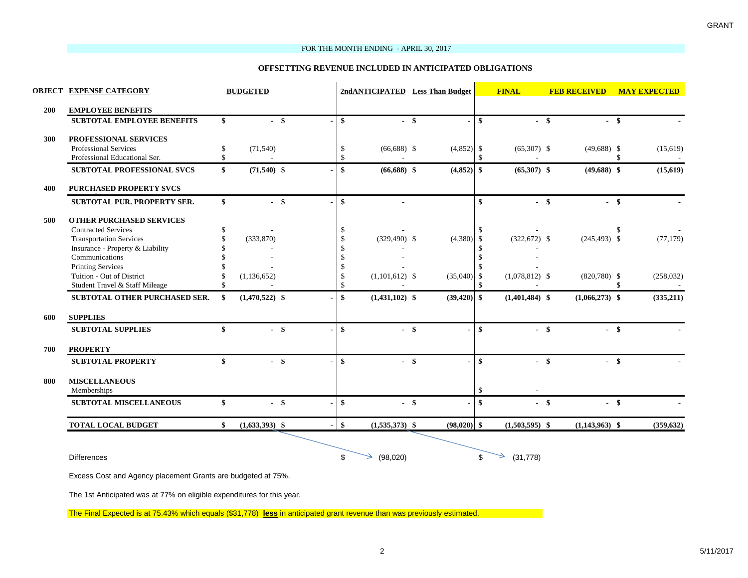#### FOR THE MONTH ENDING - APRIL 30, 2017

#### **OFFSETTING REVENUE INCLUDED IN ANTICIPATED OBLIGATIONS**

|     | <b>OBJECT EXPENSE CATEGORY</b>      |              | <b>BUDGETED</b>  |        |               | 2ndANTICIPATED Less Than Budget |        |               |               | <b>FINAL</b>     |        | <b>FEB RECEIVED</b> |     | <b>MAY EXPECTED</b> |
|-----|-------------------------------------|--------------|------------------|--------|---------------|---------------------------------|--------|---------------|---------------|------------------|--------|---------------------|-----|---------------------|
| 200 | <b>EMPLOYEE BENEFITS</b>            |              |                  |        |               |                                 |        |               |               |                  |        |                     |     |                     |
|     | <b>SUBTOTAL EMPLOYEE BENEFITS</b>   | \$           | $-$ \$           |        | \$            |                                 | $-$ \$ |               | - \$          |                  | $-$ \$ | - \$                |     |                     |
| 300 | PROFESSIONAL SERVICES               |              |                  |        |               |                                 |        |               |               |                  |        |                     |     |                     |
|     | <b>Professional Services</b>        | \$           | (71, 540)        |        | $\mathbf{\$}$ | $(66,688)$ \$                   |        | $(4,852)$ \$  |               | $(65,307)$ \$    |        | $(49,688)$ \$       |     | (15,619)            |
|     | Professional Educational Ser.       | \$           |                  |        | \$            |                                 |        |               | $\mathcal{S}$ |                  |        |                     | -\$ |                     |
|     | SUBTOTAL PROFESSIONAL SVCS          | \$           | $(71,540)$ \$    |        | \$            | $(66,688)$ \$                   |        | (4, 852)      | <b>S</b>      | $(65,307)$ \$    |        | $(49,688)$ \$       |     | (15, 619)           |
| 400 | <b>PURCHASED PROPERTY SVCS</b>      |              |                  |        |               |                                 |        |               |               |                  |        |                     |     |                     |
|     | <b>SUBTOTAL PUR. PROPERTY SER.</b>  | $\mathbf{s}$ | $-$ \$           |        | \$            |                                 |        |               | $\mathbf{s}$  |                  | $-$ \$ | $-$ \$              |     |                     |
| 500 | <b>OTHER PURCHASED SERVICES</b>     |              |                  |        |               |                                 |        |               |               |                  |        |                     |     |                     |
|     | <b>Contracted Services</b>          | \$           |                  |        | \$            |                                 |        |               | -\$           |                  |        |                     |     |                     |
|     | <b>Transportation Services</b>      | \$           | (333,870)        |        | \$            | $(329,490)$ \$                  |        | (4,380)       | -\$           | $(322,672)$ \$   |        | $(245, 493)$ \$     |     | (77, 179)           |
|     | Insurance - Property & Liability    |              |                  |        | $\mathbb{S}$  |                                 |        |               |               |                  |        |                     |     |                     |
|     | Communications                      |              |                  |        | $\mathbb{S}$  |                                 |        |               | -S            |                  |        |                     |     |                     |
|     | <b>Printing Services</b>            |              |                  |        | \$            |                                 |        |               |               |                  |        |                     |     |                     |
|     | Tuition - Out of District           |              | (1, 136, 652)    |        | $\mathcal{S}$ | $(1,101,612)$ \$                |        | (35,040)      | -\$           | $(1,078,812)$ \$ |        | $(820,780)$ \$      |     | (258, 032)          |
|     | Student Travel & Staff Mileage      | \$           |                  |        | $\mathbb{S}$  |                                 |        |               | $\mathcal{S}$ |                  |        |                     | \$  |                     |
|     | SUBTOTAL OTHER PURCHASED SER.       | -\$          | $(1,470,522)$ \$ |        | \$            | $(1,431,102)$ \$                |        | $(39,420)$ \$ |               | $(1,401,484)$ \$ |        | $(1,066,273)$ \$    |     | (335,211)           |
| 600 | <b>SUPPLIES</b>                     |              |                  |        |               |                                 |        |               |               |                  |        |                     |     |                     |
|     | <b>SUBTOTAL SUPPLIES</b>            | \$           | $-$ \$           |        | $\mathbf{s}$  |                                 | $-$ \$ |               | $\mathbf{s}$  |                  | $-$ \$ | $-$ \$              |     |                     |
| 700 | <b>PROPERTY</b>                     |              |                  |        |               |                                 |        |               |               |                  |        |                     |     |                     |
|     | <b>SUBTOTAL PROPERTY</b>            | \$           |                  | $-$ \$ | $\mathbf{s}$  |                                 | $-$ \$ |               | $\mathbf{s}$  |                  | $-$ \$ | $-$ \$              |     |                     |
| 800 | <b>MISCELLANEOUS</b><br>Memberships |              |                  |        |               |                                 |        |               | $\mathbf{s}$  |                  |        |                     |     |                     |
|     | <b>SUBTOTAL MISCELLANEOUS</b>       | \$           |                  | $-$ \$ | \$            |                                 | $-$ \$ |               | \$            |                  | $-$ \$ | $-$ \$              |     |                     |
|     | <b>TOTAL LOCAL BUDGET</b>           | \$           | $(1,633,393)$ \$ |        | $\frac{1}{2}$ | $(1,535,373)$ \$                |        | $(98,020)$ \$ |               | $(1,503,595)$ \$ |        | $(1,143,963)$ \$    |     | (359, 632)          |
|     |                                     |              |                  |        |               |                                 |        |               |               |                  |        |                     |     |                     |
|     | <b>Differences</b>                  |              |                  |        | \$            | (98,020)                        |        |               | \$            | (31,778)         |        |                     |     |                     |

Excess Cost and Agency placement Grants are budgeted at 75%.

The 1st Anticipated was at 77% on eligible expenditures for this year.

The Final Expected is at 75.43% which equals (\$31,778) **less** in anticipated grant revenue than was previously estimated.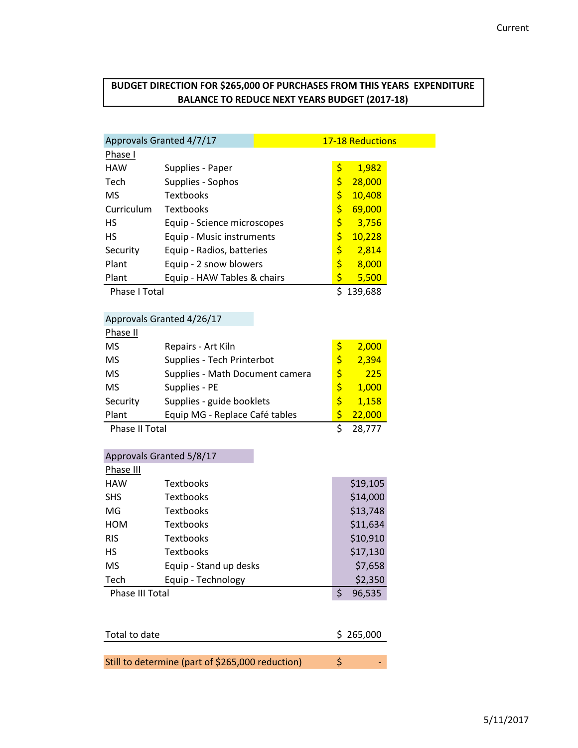# **BUDGET DIRECTION FOR \$265,000 OF PURCHASES FROM THIS YEARS EXPENDITURE BALANCE TO REDUCE NEXT YEARS BUDGET (2017-18)**

| Approvals Granted 4/7/17 |                             | <b>17-18 Reductions</b> |  |
|--------------------------|-----------------------------|-------------------------|--|
| Phase I                  |                             |                         |  |
| <b>HAW</b>               | Supplies - Paper            | \$<br>1,982             |  |
| Tech                     | Supplies - Sophos           | \$<br>28,000            |  |
| MS                       | <b>Textbooks</b>            | \$<br>10,408            |  |
| Curriculum               | <b>Textbooks</b>            | \$<br>69,000            |  |
| <b>HS</b>                | Equip - Science microscopes | \$<br>3,756             |  |
| HS                       | Equip - Music instruments   | \$<br>10,228            |  |
| Security                 | Equip - Radios, batteries   | \$<br>2,814             |  |
| Plant                    | Equip - 2 snow blowers      | \$<br>8,000             |  |
| Plant                    | Equip - HAW Tables & chairs | \$<br>5,500             |  |
| Phase I Total            |                             | 139,688                 |  |

# Approvals Granted 4/26/17

| Phase II       |                                 |    |        |
|----------------|---------------------------------|----|--------|
| MS             | Repairs - Art Kiln              | \$ | 2,000  |
| <b>MS</b>      | Supplies - Tech Printerbot      | Ś  | 2,394  |
| <b>MS</b>      | Supplies - Math Document camera | \$ | 225    |
| <b>MS</b>      | Supplies - PE                   | Ś  | 1,000  |
| Security       | Supplies - guide booklets       | Ś  | 1,158  |
| Plant          | Equip MG - Replace Café tables  |    | 22,000 |
| Phase II Total |                                 |    | 28.777 |

| Approvals Granted 5/8/17 |                        |   |          |
|--------------------------|------------------------|---|----------|
| Phase III                |                        |   |          |
| <b>HAW</b>               | Textbooks              |   | \$19,105 |
| <b>SHS</b>               | Textbooks              |   | \$14,000 |
| MG                       | Textbooks              |   | \$13,748 |
| <b>HOM</b>               | Textbooks              |   | \$11,634 |
| <b>RIS</b>               | <b>Textbooks</b>       |   | \$10,910 |
| HS                       | Textbooks              |   | \$17,130 |
| <b>MS</b>                | Equip - Stand up desks |   | \$7,658  |
| Tech                     | Equip - Technology     |   | \$2,350  |
| Phase III Total          |                        | Ś | 96,535   |
|                          |                        |   |          |

| Total to date                                    | \$265,000 |   |
|--------------------------------------------------|-----------|---|
|                                                  |           |   |
| Still to determine (part of \$265,000 reduction) |           | - |